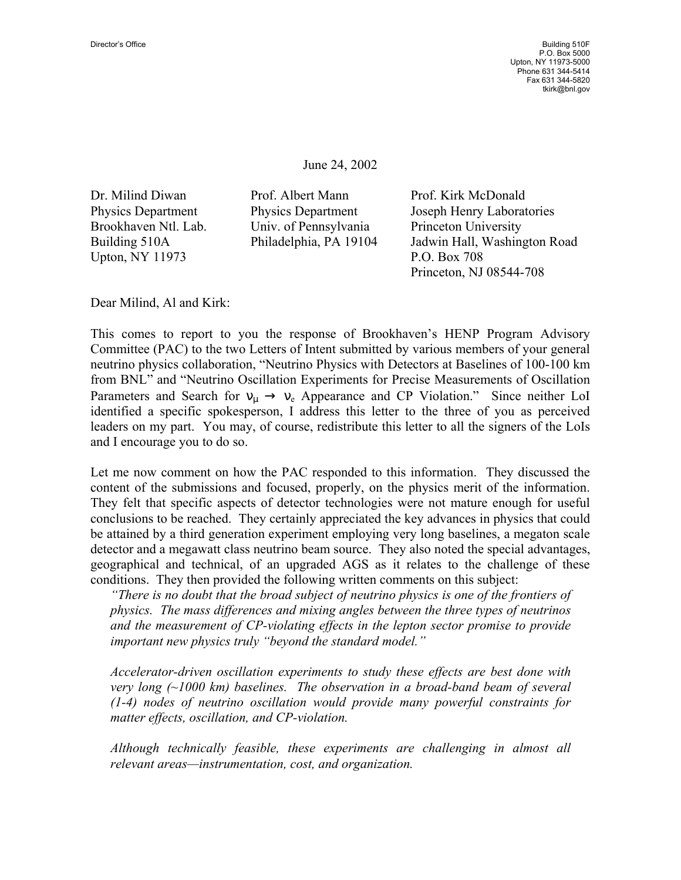June 24, 2002

Upton, NY 11973 P.O. Box 708

Dr. Milind Diwan Prof. Albert Mann Prof. Kirk McDonald Brookhaven Ntl. Lab. Univ. of Pennsylvania Princeton University

Physics Department Physics Department Joseph Henry Laboratories Building 510A Philadelphia, PA 19104 Jadwin Hall, Washington Road Princeton, NJ 08544-708

Dear Milind, Al and Kirk:

This comes to report to you the response of Brookhaven's HENP Program Advisory Committee (PAC) to the two Letters of Intent submitted by various members of your general neutrino physics collaboration, "Neutrino Physics with Detectors at Baselines of 100-100 km from BNL" and "Neutrino Oscillation Experiments for Precise Measurements of Oscillation Parameters and Search for  $v_{\mu} \rightarrow v_e$  Appearance and CP Violation." Since neither LoI identified a specific spokesperson, I address this letter to the three of you as perceived leaders on my part. You may, of course, redistribute this letter to all the signers of the LoIs and I encourage you to do so.

Let me now comment on how the PAC responded to this information. They discussed the content of the submissions and focused, properly, on the physics merit of the information. They felt that specific aspects of detector technologies were not mature enough for useful conclusions to be reached. They certainly appreciated the key advances in physics that could be attained by a third generation experiment employing very long baselines, a megaton scale detector and a megawatt class neutrino beam source. They also noted the special advantages, geographical and technical, of an upgraded AGS as it relates to the challenge of these conditions. They then provided the following written comments on this subject:

*"There is no doubt that the broad subject of neutrino physics is one of the frontiers of physics. The mass differences and mixing angles between the three types of neutrinos and the measurement of CP-violating effects in the lepton sector promise to provide important new physics truly "beyond the standard model."* 

*Accelerator-driven oscillation experiments to study these effects are best done with very long (~1000 km) baselines. The observation in a broad-band beam of several (1-4) nodes of neutrino oscillation would provide many powerful constraints for matter effects, oscillation, and CP-violation.* 

*Although technically feasible, these experiments are challenging in almost all relevant areas—instrumentation, cost, and organization.*